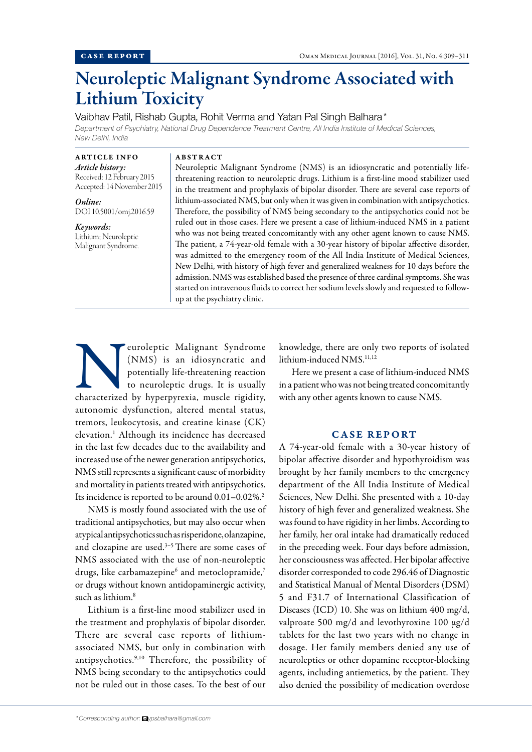# Neuroleptic Malignant Syndrome Associated with Lithium Toxicity

Vaibhav Patil, Rishab Gupta, Rohit Verma and Yatan Pal Singh Balhara\*

*Department of Psychiatry, National Drug Dependence Treatment Centre, All India Institute of Medical Sciences, New Delhi, India*

ARTICLE INFO *Article history:* Received: 12 February 2015 Accepted: 14 November 2015

*Online:* DOI 10.5001/omj.2016.59

*Keywords:* Lithium; Neuroleptic Malignant Syndrome. ABSTRACT

Neuroleptic Malignant Syndrome (NMS) is an idiosyncratic and potentially lifethreatening reaction to neuroleptic drugs. Lithium is a first-line mood stabilizer used in the treatment and prophylaxis of bipolar disorder. There are several case reports of lithium-associated NMS, but only when it was given in combination with antipsychotics. Therefore, the possibility of NMS being secondary to the antipsychotics could not be ruled out in those cases. Here we present a case of lithium-induced NMS in a patient who was not being treated concomitantly with any other agent known to cause NMS. The patient, a 74-year-old female with a 30-year history of bipolar affective disorder, was admitted to the emergency room of the All India Institute of Medical Sciences, New Delhi, with history of high fever and generalized weakness for 10 days before the admission. NMS was established based the presence of three cardinal symptoms. She was started on intravenous fluids to correct her sodium levels slowly and requested to followup at the psychiatry clinic.

euroleptic Malignant Syndrome (NMS) is an idiosyncratic and potentially life-threatening reaction to neuroleptic drugs. It is usually characterized by hyperpyrexia, muscle rigidity, (NMS) is an idiosyncratic and potentially life-threatening reaction to neuroleptic drugs. It is usually autonomic dysfunction, altered mental status, tremors, leukocytosis, and creatine kinase (CK) elevation.1 Although its incidence has decreased in the last few decades due to the availability and increased use of the newer generation antipsychotics, NMS still represents a significant cause of morbidity and mortality in patients treated with antipsychotics. Its incidence is reported to be around  $0.01-0.02\%$ .<sup>2</sup>

NMS is mostly found associated with the use of traditional antipsychotics, but may also occur when atypical antipsychotics such as risperidone, olanzapine, and clozapine are used.<sup>3-5</sup> There are some cases of NMS associated with the use of non-neuroleptic drugs, like carbamazepine $^6$  and metoclopramide, $^7$ or drugs without known antidopaminergic activity, such as lithium.8

Lithium is a first-line mood stabilizer used in the treatment and prophylaxis of bipolar disorder. There are several case reports of lithiumassociated NMS, but only in combination with antipsychotics.9,10 Therefore, the possibility of NMS being secondary to the antipsychotics could not be ruled out in those cases. To the best of our

knowledge, there are only two reports of isolated lithium-induced NMS.<sup>11,12</sup>

Here we present a case of lithium-induced NMS in a patient who was not being treated concomitantly with any other agents known to cause NMS.

## CASE REPORT

A 74-year-old female with a 30-year history of bipolar affective disorder and hypothyroidism was brought by her family members to the emergency department of the All India Institute of Medical Sciences, New Delhi. She presented with a 10-day history of high fever and generalized weakness. She was found to have rigidity in her limbs. According to her family, her oral intake had dramatically reduced in the preceding week. Four days before admission, her consciousness was affected. Her bipolar affective disorder corresponded to code 296.46 of Diagnostic and Statistical Manual of Mental Disorders (DSM) 5 and F31.7 of International Classification of Diseases (ICD) 10. She was on lithium 400 mg/d, valproate 500 mg/d and levothyroxine 100 µg/d tablets for the last two years with no change in dosage. Her family members denied any use of neuroleptics or other dopamine receptor-blocking agents, including antiemetics, by the patient. They also denied the possibility of medication overdose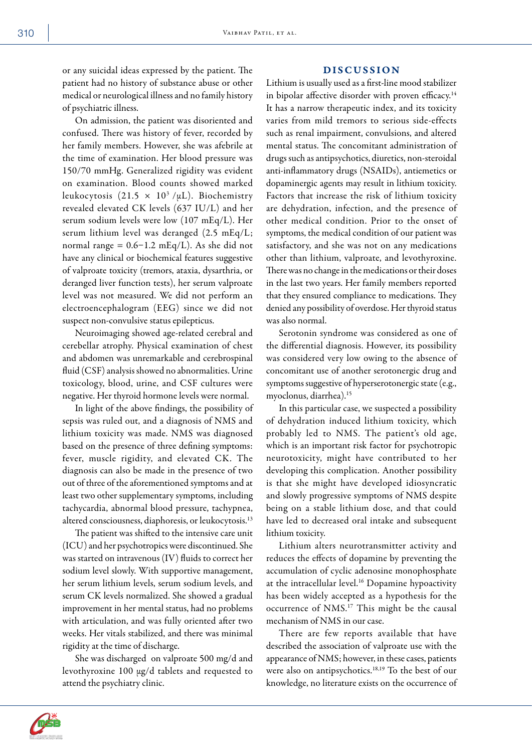or any suicidal ideas expressed by the patient. The patient had no history of substance abuse or other medical or neurological illness and no family history of psychiatric illness.

On admission, the patient was disoriented and confused. There was history of fever, recorded by her family members. However, she was afebrile at the time of examination. Her blood pressure was 150/70 mmHg. Generalized rigidity was evident on examination. Blood counts showed marked leukocytosis (21.5  $\times$  10<sup>3</sup>/µL). Biochemistry revealed elevated CK levels (637 IU/L) and her serum sodium levels were low (107 mEq/L). Her serum lithium level was deranged (2.5 mEq/L; normal range =  $0.6-1.2 \text{ mEq/L}$ . As she did not have any clinical or biochemical features suggestive of valproate toxicity (tremors, ataxia, dysarthria, or deranged liver function tests), her serum valproate level was not measured. We did not perform an electroencephalogram (EEG) since we did not suspect non-convulsive status epilepticus.

Neuroimaging showed age-related cerebral and cerebellar atrophy. Physical examination of chest and abdomen was unremarkable and cerebrospinal fluid (CSF) analysis showed no abnormalities. Urine toxicology, blood, urine, and CSF cultures were negative. Her thyroid hormone levels were normal.

In light of the above findings, the possibility of sepsis was ruled out, and a diagnosis of NMS and lithium toxicity was made. NMS was diagnosed based on the presence of three defining symptoms: fever, muscle rigidity, and elevated CK. The diagnosis can also be made in the presence of two out of three of the aforementioned symptoms and at least two other supplementary symptoms, including tachycardia, abnormal blood pressure, tachypnea, altered consciousness, diaphoresis, or leukocytosis.13

The patient was shifted to the intensive care unit (ICU) and her psychotropics were discontinued. She was started on intravenous (IV) fluids to correct her sodium level slowly. With supportive management, her serum lithium levels, serum sodium levels, and serum CK levels normalized. She showed a gradual improvement in her mental status, had no problems with articulation, and was fully oriented after two weeks. Her vitals stabilized, and there was minimal rigidity at the time of discharge.

She was discharged on valproate 500 mg/d and levothyroxine 100 µg/d tablets and requested to attend the psychiatry clinic.

### DISCUSSION

Lithium is usually used as a first-line mood stabilizer in bipolar affective disorder with proven efficacy.<sup>14</sup> It has a narrow therapeutic index, and its toxicity varies from mild tremors to serious side-effects such as renal impairment, convulsions, and altered mental status. The concomitant administration of drugs such as antipsychotics, diuretics, non-steroidal anti-inflammatory drugs (NSAIDs), antiemetics or dopaminergic agents may result in lithium toxicity. Factors that increase the risk of lithium toxicity are dehydration, infection, and the presence of other medical condition. Prior to the onset of symptoms, the medical condition of our patient was satisfactory, and she was not on any medications other than lithium, valproate, and levothyroxine. There was no change in the medications or their doses in the last two years. Her family members reported that they ensured compliance to medications. They denied any possibility of overdose. Her thyroid status was also normal.

Serotonin syndrome was considered as one of the differential diagnosis. However, its possibility was considered very low owing to the absence of concomitant use of another serotonergic drug and symptoms suggestive of hyperserotonergic state (e.g., myoclonus, diarrhea).15

In this particular case, we suspected a possibility of dehydration induced lithium toxicity, which probably led to NMS. The patient's old age, which is an important risk factor for psychotropic neurotoxicity, might have contributed to her developing this complication. Another possibility is that she might have developed idiosyncratic and slowly progressive symptoms of NMS despite being on a stable lithium dose, and that could have led to decreased oral intake and subsequent lithium toxicity.

Lithium alters neurotransmitter activity and reduces the effects of dopamine by preventing the accumulation of cyclic adenosine monophosphate at the intracellular level.16 Dopamine hypoactivity has been widely accepted as a hypothesis for the occurrence of NMS.17 This might be the causal mechanism of NMS in our case.

There are few reports available that have described the association of valproate use with the appearance of NMS; however, in these cases, patients were also on antipsychotics.<sup>18,19</sup> To the best of our knowledge, no literature exists on the occurrence of